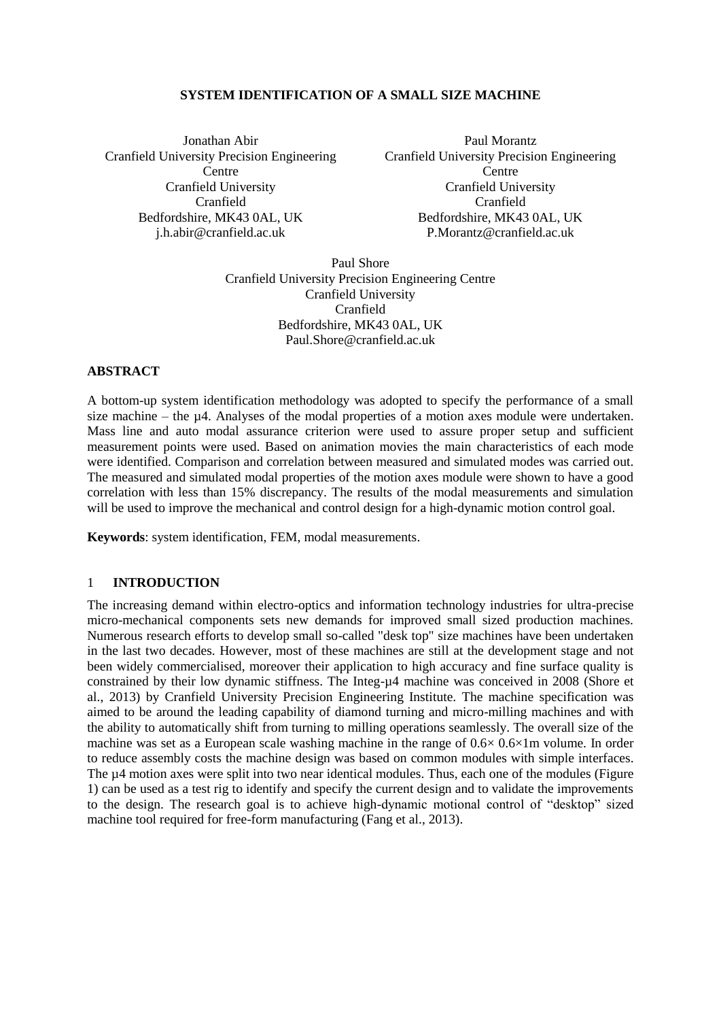## **SYSTEM IDENTIFICATION OF A SMALL SIZE MACHINE**

Jonathan Abir Cranfield University Precision Engineering Centre Bedfordshire, MK43 0AL, UK j.h.abir@cranfield.ac.uk

Paul Morantz Cranfield University Precision Engineering Centre Cranfield University Cranfield University Cranfield Cranfield Bedfordshire, MK43 0AL, UK P.Morantz@cranfield.ac.uk

> Paul Shore Cranfield University Precision Engineering Centre Cranfield University Cranfield Bedfordshire, MK43 0AL, UK Paul.Shore@cranfield.ac.uk

## **ABSTRACT**

A bottom-up system identification methodology was adopted to specify the performance of a small size machine – the µ4. Analyses of the modal properties of a motion axes module were undertaken. Mass line and auto modal assurance criterion were used to assure proper setup and sufficient measurement points were used. Based on animation movies the main characteristics of each mode were identified. Comparison and correlation between measured and simulated modes was carried out. The measured and simulated modal properties of the motion axes module were shown to have a good correlation with less than 15% discrepancy. The results of the modal measurements and simulation will be used to improve the mechanical and control design for a high-dynamic motion control goal.

**Keywords**: system identification, FEM, modal measurements.

## 1 **INTRODUCTION**

The increasing demand within electro-optics and information technology industries for ultra-precise micro-mechanical components sets new demands for improved small sized production machines. Numerous research efforts to develop small so-called "desk top" size machines have been undertaken in the last two decades. However, most of these machines are still at the development stage and not been widely commercialised, moreover their application to high accuracy and fine surface quality is constrained by their low dynamic stiffness. The Integ- $\mu$ 4 machine was conceived in 2008 (Shore et al., 2013) by Cranfield University Precision Engineering Institute. The machine specification was aimed to be around the leading capability of diamond turning and micro-milling machines and with the ability to automatically shift from turning to milling operations seamlessly. The overall size of the machine was set as a European scale washing machine in the range of 0.6× 0.6×1m volume. In order to reduce assembly costs the machine design was based on common modules with simple interfaces. The  $\mu$ 4 motion axes were split into two near identical modules. Thus, each one of the modules (Figure [1\)](#page-1-0) can be used as a test rig to identify and specify the current design and to validate the improvements to the design. The research goal is to achieve high-dynamic motional control of "desktop" sized machine tool required for free-form manufacturing (Fang et al., 2013).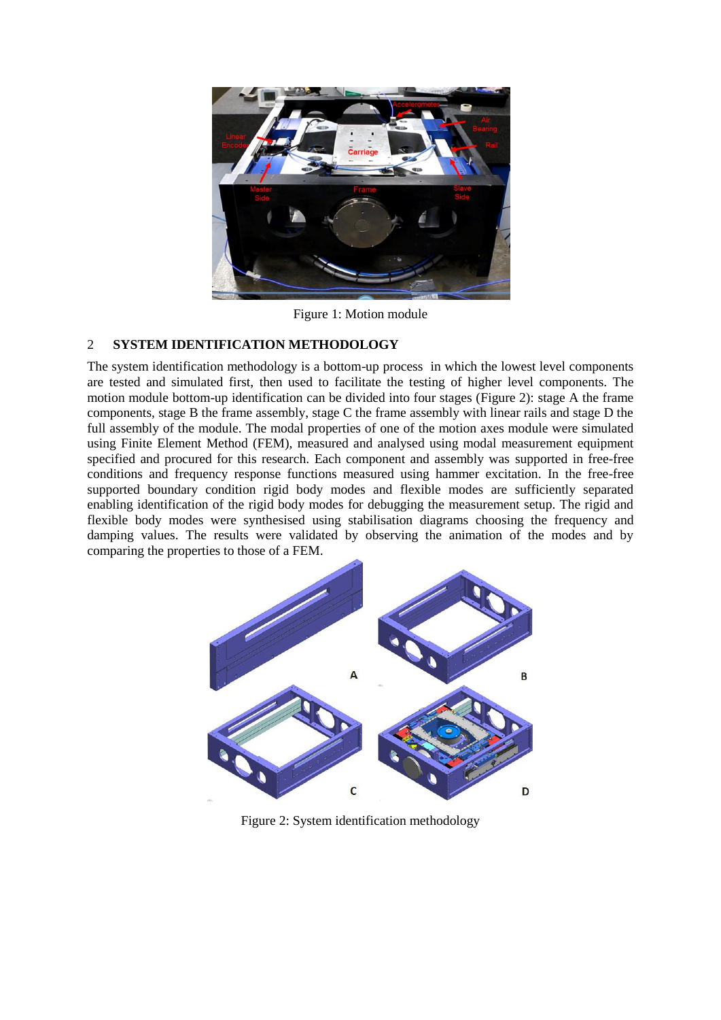

Figure 1: Motion module

# <span id="page-1-0"></span>2 **SYSTEM IDENTIFICATION METHODOLOGY**

The system identification methodology is a bottom-up process in which the lowest level components are tested and simulated first, then used to facilitate the testing of higher level components. The motion module bottom-up identification can be divided into four stages [\(Figure 2\)](#page-1-1): stage A the frame components, stage B the frame assembly, stage C the frame assembly with linear rails and stage D the full assembly of the module. The modal properties of one of the motion axes module were simulated using Finite Element Method (FEM), measured and analysed using modal measurement equipment specified and procured for this research. Each component and assembly was supported in free-free conditions and frequency response functions measured using hammer excitation. In the free-free supported boundary condition rigid body modes and flexible modes are sufficiently separated enabling identification of the rigid body modes for debugging the measurement setup. The rigid and flexible body modes were synthesised using stabilisation diagrams choosing the frequency and damping values. The results were validated by observing the animation of the modes and by comparing the properties to those of a FEM.



<span id="page-1-1"></span>Figure 2: System identification methodology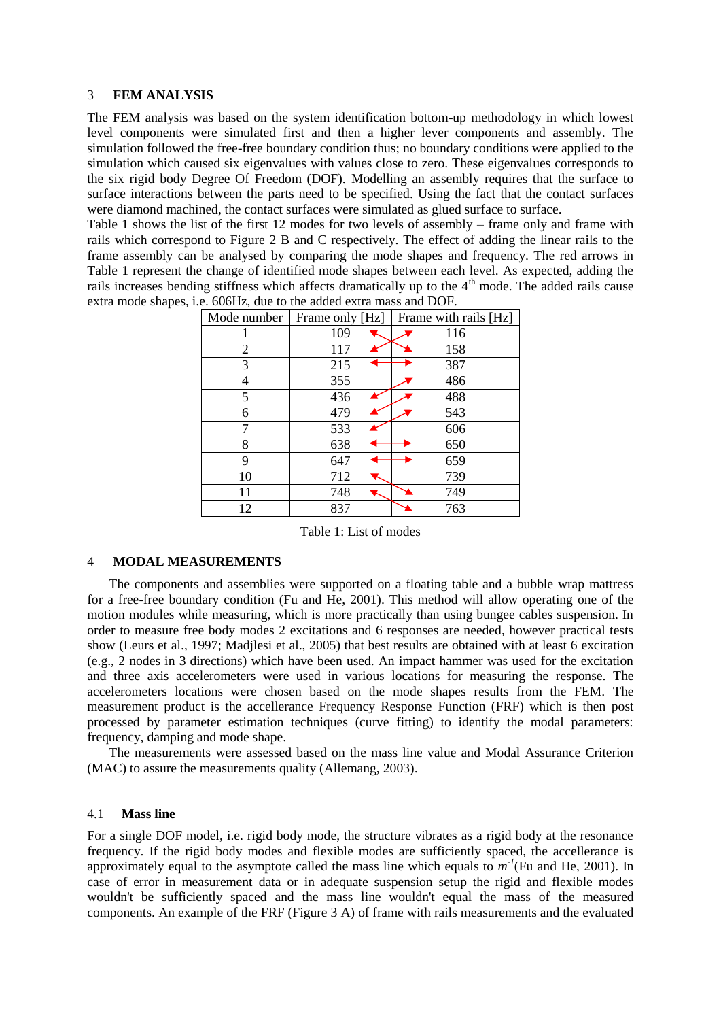#### 3 **FEM ANALYSIS**

The FEM analysis was based on the system identification bottom-up methodology in which lowest level components were simulated first and then a higher lever components and assembly. The simulation followed the free-free boundary condition thus; no boundary conditions were applied to the simulation which caused six eigenvalues with values close to zero. These eigenvalues corresponds to the six rigid body Degree Of Freedom (DOF). Modelling an assembly requires that the surface to surface interactions between the parts need to be specified. Using the fact that the contact surfaces were diamond machined, the contact surfaces were simulated as glued surface to surface.

[Table 1](#page-2-0) shows the list of the first 12 modes for two levels of assembly – frame only and frame with rails which correspond to [Figure 2](#page-1-1) B and C respectively. The effect of adding the linear rails to the frame assembly can be analysed by comparing the mode shapes and frequency. The red arrows in [Table 1](#page-2-0) represent the change of identified mode shapes between each level. As expected, adding the rails increases bending stiffness which affects dramatically up to the 4<sup>th</sup> mode. The added rails cause extra mode shapes, i.e. 606Hz, due to the added extra mass and DOF.

| Mode number | Frame only [Hz] | Frame with rails [Hz] |
|-------------|-----------------|-----------------------|
| 1           | 109             | 116                   |
| 2           | 117             | 158                   |
| 3           | 215             | 387                   |
| 4           | 355             | 486                   |
| 5           | 436             | 488                   |
| 6           | 479             | 543                   |
| 7           | 533             | 606                   |
| 8           | 638             | 650                   |
| 9           | 647             | 659                   |
| 10          | 712             | 739                   |
| 11          | 748             | 749                   |
| 12          | 837             | 763                   |

Table 1: List of modes

## <span id="page-2-0"></span>4 **MODAL MEASUREMENTS**

The components and assemblies were supported on a floating table and a bubble wrap mattress for a free-free boundary condition (Fu and He, 2001). This method will allow operating one of the motion modules while measuring, which is more practically than using bungee cables suspension. In order to measure free body modes 2 excitations and 6 responses are needed, however practical tests show (Leurs et al., 1997; Madjlesi et al., 2005) that best results are obtained with at least 6 excitation (e.g., 2 nodes in 3 directions) which have been used. An impact hammer was used for the excitation and three axis accelerometers were used in various locations for measuring the response. The accelerometers locations were chosen based on the mode shapes results from the FEM. The measurement product is the accellerance Frequency Response Function (FRF) which is then post processed by parameter estimation techniques (curve fitting) to identify the modal parameters: frequency, damping and mode shape.

The measurements were assessed based on the mass line value and Modal Assurance Criterion (MAC) to assure the measurements quality (Allemang, 2003).

### 4.1 **Mass line**

For a single DOF model, i.e. rigid body mode, the structure vibrates as a rigid body at the resonance frequency. If the rigid body modes and flexible modes are sufficiently spaced, the accellerance is approximately equal to the asymptote called the mass line which equals to  $m^{-1}$  (Fu and He, 2001). In case of error in measurement data or in adequate suspension setup the rigid and flexible modes wouldn't be sufficiently spaced and the mass line wouldn't equal the mass of the measured components. An example of the FRF [\(Figure 3](#page-3-0) A) of frame with rails measurements and the evaluated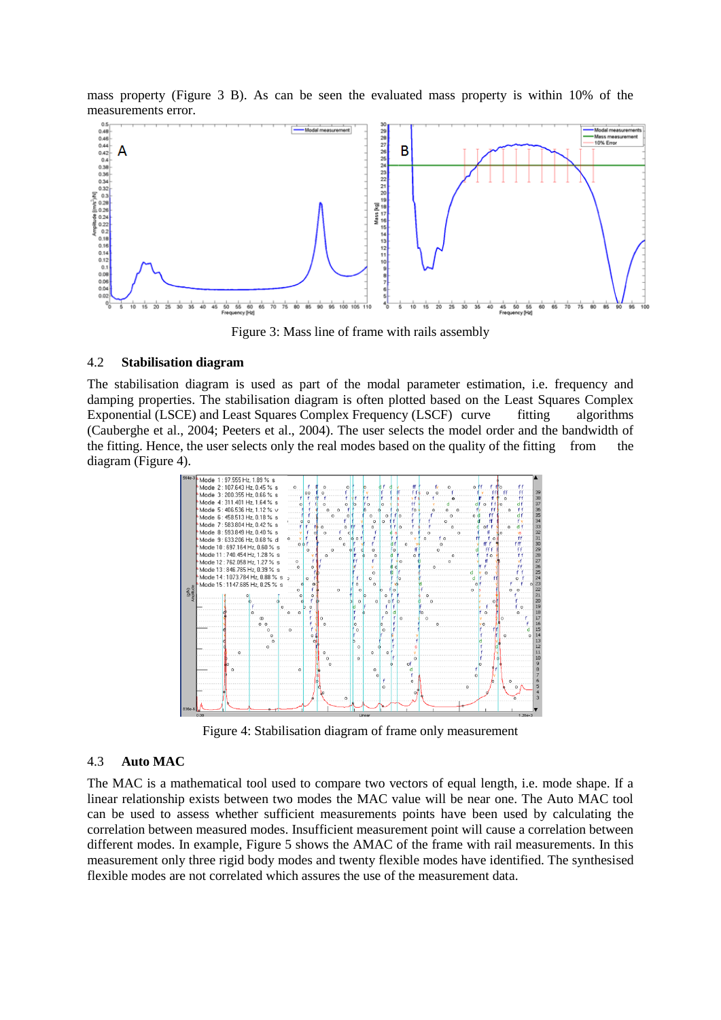mass property [\(Figure 3](#page-3-0) B). As can be seen the evaluated mass property is within 10% of the measurements error.



Figure 3: Mass line of frame with rails assembly

#### <span id="page-3-0"></span>4.2 **Stabilisation diagram**

The stabilisation diagram is used as part of the modal parameter estimation, i.e. frequency and damping properties. The stabilisation diagram is often plotted based on the Least Squares Complex Exponential (LSCE) and Least Squares Complex Frequency (LSCF) curve fitting algorithms (Cauberghe et al., 2004; Peeters et al., 2004). The user selects the model order and the bandwidth of the fitting. Hence, the user selects only the real modes based on the quality of the fitting from the diagram [\(Figure 4\)](#page-3-1).



Figure 4: Stabilisation diagram of frame only measurement

### <span id="page-3-1"></span>4.3 **Auto MAC**

The MAC is a mathematical tool used to compare two vectors of equal length, i.e. mode shape. If a linear relationship exists between two modes the MAC value will be near one. The Auto MAC tool can be used to assess whether sufficient measurements points have been used by calculating the correlation between measured modes. Insufficient measurement point will cause a correlation between different modes. In example, [Figure 5](#page-4-0) shows the AMAC of the frame with rail measurements. In this measurement only three rigid body modes and twenty flexible modes have identified. The synthesised flexible modes are not correlated which assures the use of the measurement data.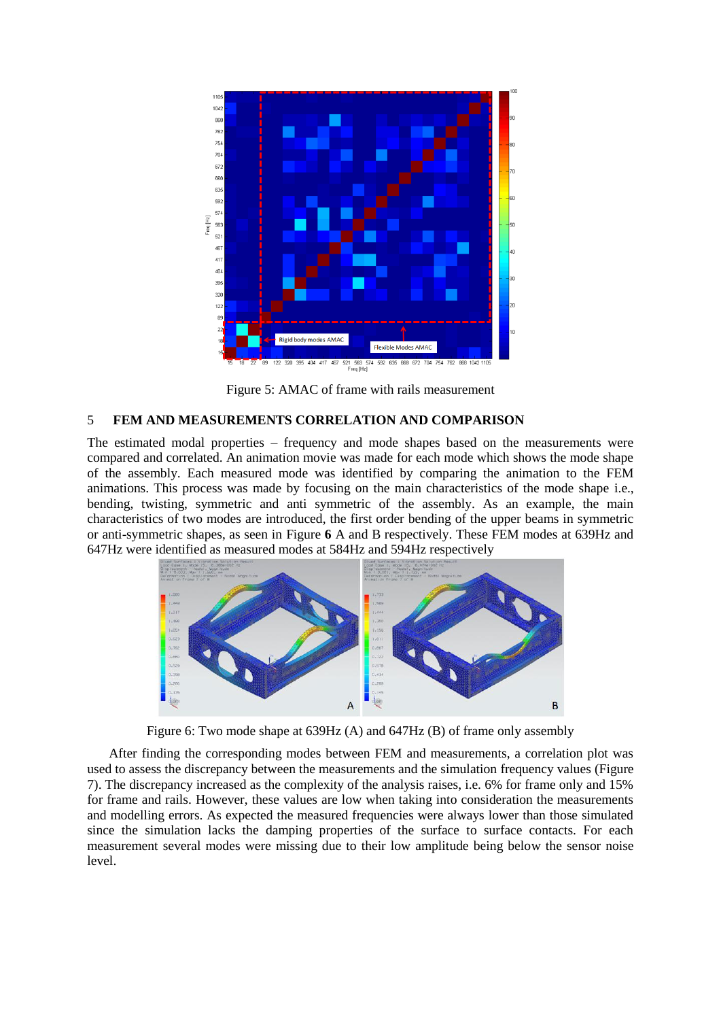

Figure 5: AMAC of frame with rails measurement

# <span id="page-4-0"></span>5 **FEM AND MEASUREMENTS CORRELATION AND COMPARISON**

The estimated modal properties – frequency and mode shapes based on the measurements were compared and correlated. An animation movie was made for each mode which shows the mode shape of the assembly. Each measured mode was identified by comparing the animation to the FEM animations. This process was made by focusing on the main characteristics of the mode shape i.e., bending, twisting, symmetric and anti symmetric of the assembly. As an example, the main characteristics of two modes are introduced, the first order bending of the upper beams in symmetric or anti-symmetric shapes, as seen in [Figure](#page-4-1) **6** A and B respectively. These FEM modes at 639Hz and 647Hz were identified as measured modes at 584Hz and 594Hz respectively



Figure 6: Two mode shape at 639Hz (A) and 647Hz (B) of frame only assembly

<span id="page-4-1"></span>After finding the corresponding modes between FEM and measurements, a correlation plot was used to assess the discrepancy between the measurements and the simulation frequency values [\(Figure](#page-5-0)  [7\)](#page-5-0). The discrepancy increased as the complexity of the analysis raises, i.e. 6% for frame only and 15% for frame and rails. However, these values are low when taking into consideration the measurements and modelling errors. As expected the measured frequencies were always lower than those simulated since the simulation lacks the damping properties of the surface to surface contacts. For each measurement several modes were missing due to their low amplitude being below the sensor noise level.